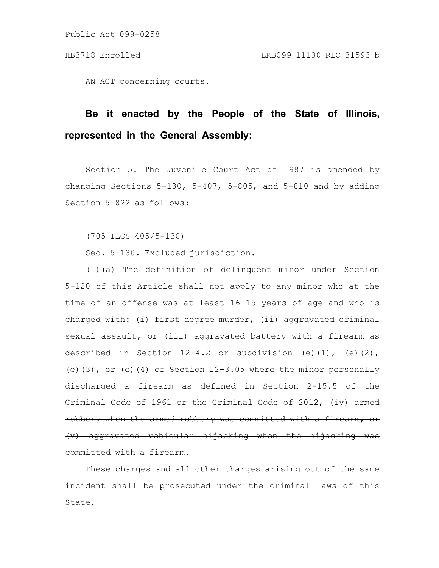AN ACT concerning courts.

# **Be it enacted by the People of the State of Illinois, represented in the General Assembly:**

Section 5. The Juvenile Court Act of 1987 is amended by changing Sections  $5-130$ ,  $5-407$ ,  $5-805$ , and  $5-810$  and by adding Section 5-822 as follows:

(705 ILCS 405/5-130)

Sec. 5-130. Excluded jurisdiction.

(1)(a) The definition of delinquent minor under Section 5-120 of this Article shall not apply to any minor who at the time of an offense was at least  $16$   $15$  years of age and who is charged with: (i) first degree murder, (ii) aggravated criminal sexual assault, or (iii) aggravated battery with a firearm as described in Section  $12-4.2$  or subdivision (e)(1), (e)(2), (e)(3), or (e)(4) of Section  $12-3.05$  where the minor personally discharged a firearm as defined in Section 2-15.5 of the Criminal Code of 1961 or the Criminal Code of 2012 $^-$  (iv) armed robbery when the armed robbery was committed with a (v) aggravated vehicular hijacking when the hijacking was committed with a firearm.

These charges and all other charges arising out of the same incident shall be prosecuted under the criminal laws of this State.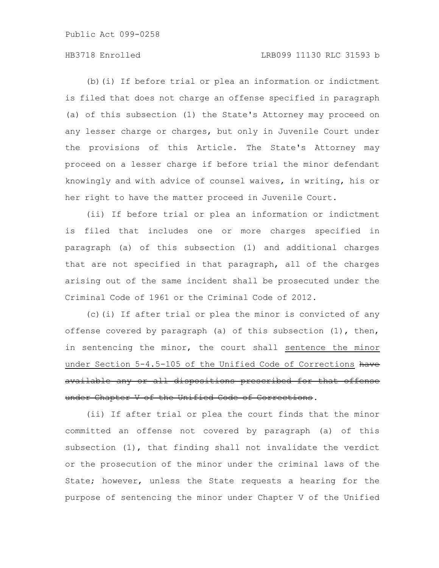# HB3718 Enrolled LRB099 11130 RLC 31593 b

(b)(i) If before trial or plea an information or indictment is filed that does not charge an offense specified in paragraph (a) of this subsection (1) the State's Attorney may proceed on any lesser charge or charges, but only in Juvenile Court under the provisions of this Article. The State's Attorney may proceed on a lesser charge if before trial the minor defendant knowingly and with advice of counsel waives, in writing, his or her right to have the matter proceed in Juvenile Court.

(ii) If before trial or plea an information or indictment is filed that includes one or more charges specified in paragraph (a) of this subsection (1) and additional charges that are not specified in that paragraph, all of the charges arising out of the same incident shall be prosecuted under the Criminal Code of 1961 or the Criminal Code of 2012.

(c)(i) If after trial or plea the minor is convicted of any offense covered by paragraph (a) of this subsection (1), then, in sentencing the minor, the court shall sentence the minor under Section 5-4.5-105 of the Unified Code of Corrections have available any or all dispositions prescribed for that offense under Chapter V of the Unified Code of Corrections.

(ii) If after trial or plea the court finds that the minor committed an offense not covered by paragraph (a) of this subsection (1), that finding shall not invalidate the verdict or the prosecution of the minor under the criminal laws of the State; however, unless the State requests a hearing for the purpose of sentencing the minor under Chapter V of the Unified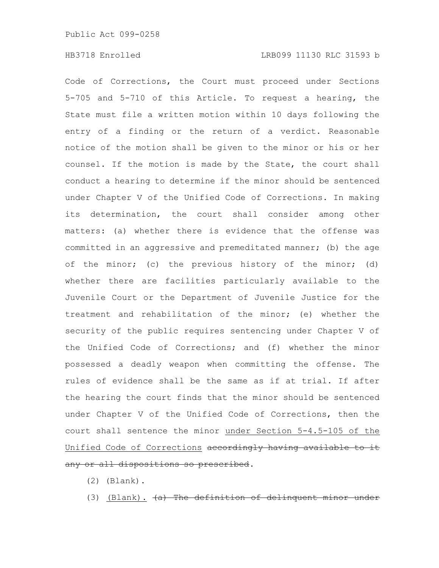Code of Corrections, the Court must proceed under Sections 5-705 and 5-710 of this Article. To request a hearing, the State must file a written motion within 10 days following the entry of a finding or the return of a verdict. Reasonable notice of the motion shall be given to the minor or his or her counsel. If the motion is made by the State, the court shall conduct a hearing to determine if the minor should be sentenced under Chapter V of the Unified Code of Corrections. In making its determination, the court shall consider among other matters: (a) whether there is evidence that the offense was committed in an aggressive and premeditated manner; (b) the age of the minor; (c) the previous history of the minor; (d) whether there are facilities particularly available to the Juvenile Court or the Department of Juvenile Justice for the treatment and rehabilitation of the minor; (e) whether the security of the public requires sentencing under Chapter V of the Unified Code of Corrections; and (f) whether the minor possessed a deadly weapon when committing the offense. The rules of evidence shall be the same as if at trial. If after the hearing the court finds that the minor should be sentenced under Chapter V of the Unified Code of Corrections, then the court shall sentence the minor under Section 5-4.5-105 of the Unified Code of Corrections accordingly having availabl any or all dispositions so prescribed.

- (2) (Blank).
- (3) (Blank).  $(a)$  The definition of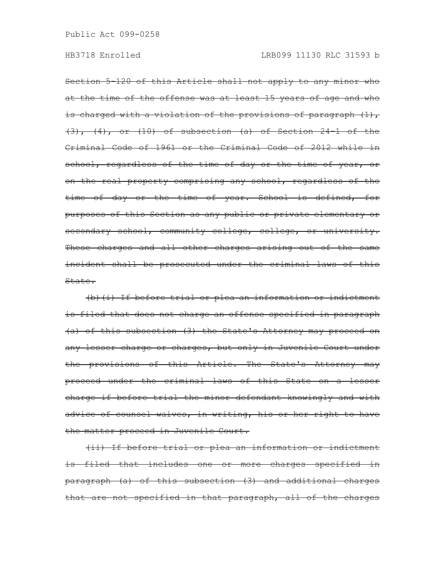Section 5-120 of this Article shall not apply to any minor who at the time of the offense was at least 15 years of age and who is charged with a violation of the provisions of paragraph  $(1)$ ,  $(3)$ ,  $(4)$ , or  $(10)$  of subsection  $(a)$  of Section 24-1 of the Criminal Code of 1961 or the Criminal Code of 2012 while in school, regardless of the time of day or the time of year, or on the real property comprising any school, regardless of the time of day or the time of year. School is defined, for purposes of this Section as any public or private elementary or secondary school, community college, college, or university. These charges and all other charges arising out of the same incident shall be prosecuted under the criminal laws of this State.

(b)(i) If before trial or plea an information or indictment is filed that does not charge an offense specified in paragraph (a) of this subsection (3) the State's Attorney may proceed on any lesser charge or charges, but only in Juvenile Court under the provisions of this Article. The State's Attorney may proceed under the criminal laws of this State on a lesser charge if before trial the minor defendant knowingly and with advice of counsel waives, in writing, his or her right to have the matter proceed in Juvenile Court.

(ii) If before trial or plea an information or indictment is filed that includes one or more charges specified in paragraph (a) of this subsection (3) and additional charges that are not specified in that paragraph, all of the charges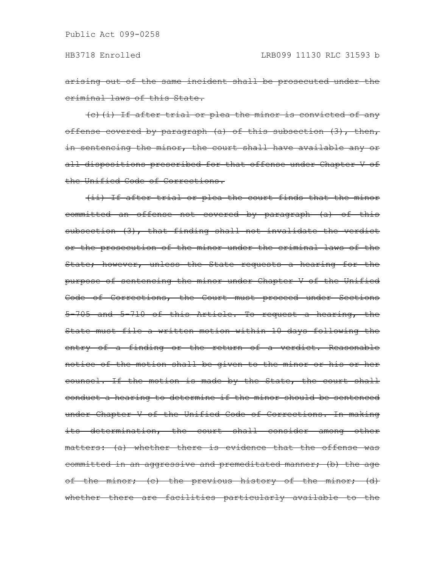arising out of the same incident shall be prosecuted under the criminal laws of this State.

(c)(i) If after trial or plea the minor is convicted of any offense covered by paragraph (a) of this subsection (3), then, in sentencing the minor, the court shall have available any or all dispositions prescribed for that offense under Chapter V of the Unified Code of Corrections.

(ii) If after trial or plea the court finds that the minor committed an offense not covered by paragraph (a) of this subsection (3), that finding shall not invalidate the verdict or the prosecution of the minor under the criminal laws of the State; however, unless the State requests a hearing for the purpose of sentencing the minor under Chapter V of the Unified Code of Corrections, the Court must proceed under Sections 5-705 and 5-710 of this Article. To request a hearing, the State must file a written motion within 10 days following the entry of a finding or the return of a verdict. Reasonable notice of the motion shall be given to the minor or his or her counsel. If the motion is made by the State, the court shall conduct a hearing to determine if the minor should be sentenced under Chapter V of the Unified Code of Corrections. In making its determination, the court shall consider among other matters: (a) whether there is evidence that the offense was committed in an aggressive and premeditated manner; (b) the age of the minor; (c) the previous history of the minor; (d) whether there are facilities particularly available to the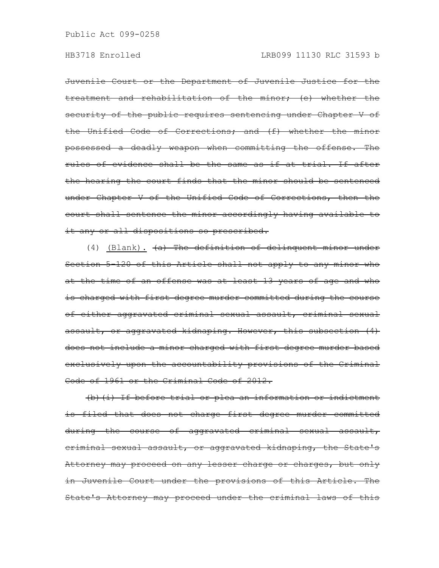# HB3718 Enrolled LRB099 11130 RLC 31593 b

Juvenile Court or the Department of Juvenile Justice for the treatment and rehabilitation of the minor; (e) whether the security of the public requires sentencing under Chapter V of the Unified Code of Corrections; and (f) whether the minor possessed a deadly weapon when committing the offense. The rules of evidence shall be the same as if at trial. If after the hearing the court finds that the minor should be sentenced under Chapter V of the Unified Code of Corrections, then the court shall sentence the minor accordingly having available to it any or all dispositions so prescribed.

(4) (Blank). (a) The definition of delinquent minor under Section 5-120 of this Article shall not apply to any minor who at the time of an offense was at least 13 years of age and who is charged with first degree murder committed during the course of either aggravated criminal sexual assault, criminal sexual assault, or aggravated kidnaping. However, this subsection (4) does not include a minor charged with first degree murder based exclusively upon the accountability provisions of the Criminal Code of 1961 or the Criminal Code of 2012.

(b)(i) If before trial or plea an information or indictment is filed that does not charge first degree murder committed during the course of aggravated criminal sexual assault, criminal sexual assault, or aggravated kidnaping, the State's Attorney may proceed on any lesser charge or charges, but only in Juvenile Court under the provisions of this Article. The State's Attorney may proceed under the criminal laws of this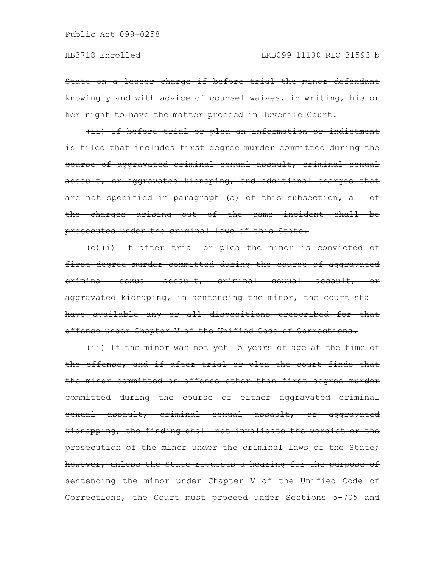State on a lesser charge if before trial the minor defendant knowingly and with advice of counsel waives, in writing, his or her right to have the matter proceed in Juvenile Court.

(ii) If before trial or plea an information or indictment is filed that includes first degree murder committed during the course of aggravated criminal sexual assault, criminal sexual assault, or aggravated kidnaping, and additional charges that are not specified in paragraph (a) of this subsection, all of the charges arising out of the same incident shall be prosecuted under the criminal laws of this State.

(c)(i) If after trial or plea the minor is convicted of first degree murder committed during the course of aggravated eriminal sexual assault, eriminal sexual assault, aggravated kidnaping, in sentencing the minor, the court shall have available any or all dispositions prescribed for that offense under Chapter V of the Unified Code of Corrections.

(ii) If the minor was not yet 15 years of age at the time of the offense, and if after trial or plea the court finds that the minor committed an offense other than first degree murder committed during the course of either aggravated criminal sexual assault, criminal sexual assault, or aggravated kidnapping, the finding shall not invalidate the verdict or the prosecution of the minor under the criminal laws of the State; however, unless the State requests a hearing for the purpose of sentencing the minor under Chapter V of the Unified Code of Corrections, the Court must proceed under Sections 5-705 and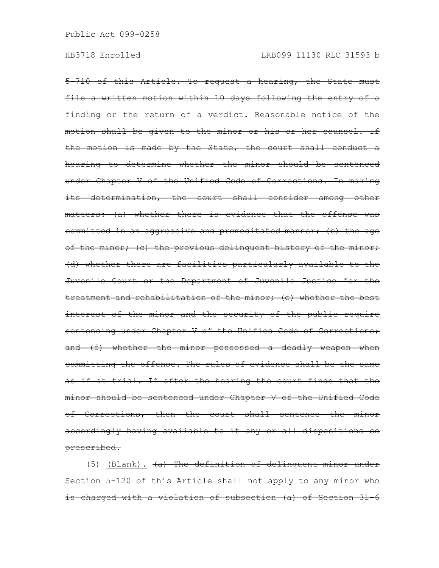5-710 of this Article. To request a hearing, the State must file a written motion within 10 days following the entry of a finding or the return of a verdict. Reasonable notice of the motion shall be given to the minor or his or her counsel. If the motion is made by the State, the court shall conduct a hearing to determine whether the minor should be sentenced under Chapter V of the Unified Code of Corrections. In making its determination, the court shall consider among other matters: (a) whether there is evidence that the offense was committed in an aggressive and premeditated manner; (b) the age of the minor; (c) the previous delinquent history of the minor; (d) whether there are facilities particularly available to the Juvenile Court or the Department of Juvenile Justice for the treatment and rehabilitation of the minor; (e) whether the best interest of the minor and the security of the public require sentencing under Chapter V of the Unified Code of Corrections; and (f) whether the minor possessed a deadly weapon when committing the offense. The rules of evidence shall be the same as if at trial. If after the hearing the court finds that the minor should be sentenced under Chapter V of the Unified Code of Corrections, then the court shall sentence the minor accordingly having available to it any or all dispositions so prescribed.

(5) (Blank). (a) The definition of delinquent minor under Section 5-120 of this Article shall not apply to any minor who is charged with a violation of subsection (a) of Section 31-6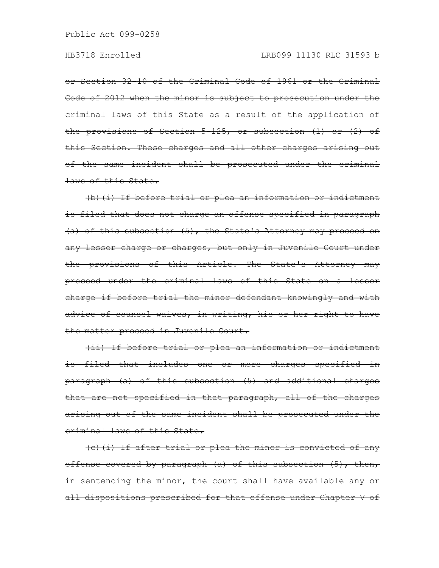or Section 32-10 of the Criminal Code of 1961 or the Criminal Code of 2012 when the minor is subject to prosecution under the criminal laws of this State as a result of the application of the provisions of Section 5-125, or subsection (1) or (2) of this Section. These charges and all other charges arising out of the same incident shall be prosecuted under the criminal laws of this State.

(b)(i) If before trial or plea an information or indictment is filed that does not charge an offense specified in paragraph (a) of this subsection (5), the State's Attorney may proceed on any lesser charge or charges, but only in Juvenile Court under the provisions of this Article. The State's Attorney may proceed under the criminal laws of this State on a lesser charge if before trial the minor defendant knowingly and with advice of counsel waives, in writing, his or her right to have the matter proceed in Juvenile Court.

(ii) If before trial or plea an information or indictment is filed that includes one or more charges specified in paragraph (a) of this subsection (5) and additional charges that are not specified in that paragraph, all of the charges arising out of the same incident shall be prosecuted under the criminal laws of this State.

(c)(i) If after trial or plea the minor is convicted of any offense covered by paragraph (a) of this subsection  $(5)$ , then, in sentencing the minor, the court shall have available any or all dispositions prescribed for that offense under Chapter V of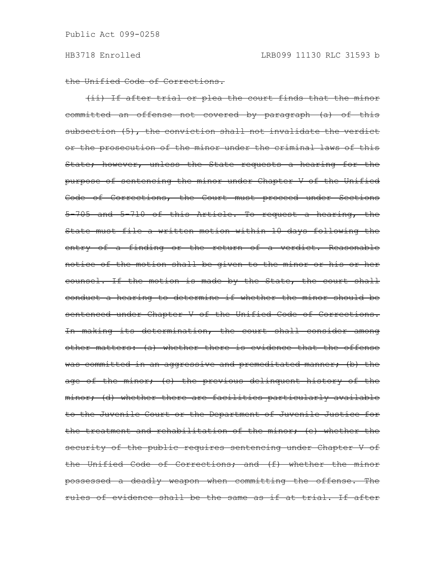the Unified Code of Corrections.

(ii) If after trial or plea the court finds that the minor committed an offense not covered by paragraph (a) of this subsection (5), the conviction shall not invalidate the verdict or the prosecution of the minor under the criminal laws of this State; however, unless the State requests a hearing for the purpose of sentencing the minor under Chapter V of the Unified Code of Corrections, the Court must proceed under Sections 5-705 and 5-710 of this Article. To request a hearing, the State must file a written motion within 10 days following the entry of a finding or the return of a verdict. Reasonable notice of the motion shall be given to the minor or his or her counsel. If the motion is made by the State, the court shall conduct a hearing to determine if whether the minor should be sentenced under Chapter V of the Unified Code of Corrections. In making its determination, the court shall consider among other matters: (a) whether there is evidence that the offense was committed in an aggressive and premeditated manner; (b) the age of the minor; (c) the previous delinquent history of the minor; (d) whether there are facilities particularly available to the Juvenile Court or the Department of Juvenile Justice for the treatment and rehabilitation of the minor; (e) whether the security of the public requires sentencing under Chapter V of the Unified Code of Corrections; and (f) whether the minor possessed a deadly weapon when committing the offense. The rules of evidence shall be the same as if at trial. If after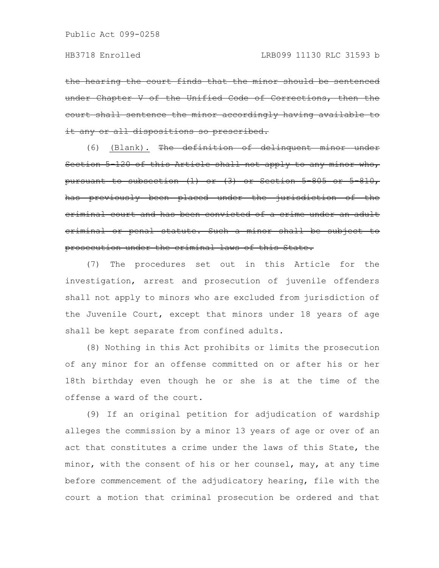the hearing the court finds that the minor should be under Chapter V of the Unified Code of Corrections, then court shall sentence the minor accordingly having it any or all dispositions so prescribed.

(6) (Blank). The definition of delinquent minor under Section 5-120 of this Article shall not apply to any minor who, pursuant to subsection  $(1)$  or  $(3)$  or Section 5-805 or 5-810, has previously been placed under the jurisdiction criminal court and has been convicted of a crime under an adult criminal or penal statute. Such a minor shall be subject to prosecution under the criminal laws of this State.

(7) The procedures set out in this Article for the investigation, arrest and prosecution of juvenile offenders shall not apply to minors who are excluded from jurisdiction of the Juvenile Court, except that minors under 18 years of age shall be kept separate from confined adults.

(8) Nothing in this Act prohibits or limits the prosecution of any minor for an offense committed on or after his or her 18th birthday even though he or she is at the time of the offense a ward of the court.

(9) If an original petition for adjudication of wardship alleges the commission by a minor 13 years of age or over of an act that constitutes a crime under the laws of this State, the minor, with the consent of his or her counsel, may, at any time before commencement of the adjudicatory hearing, file with the court a motion that criminal prosecution be ordered and that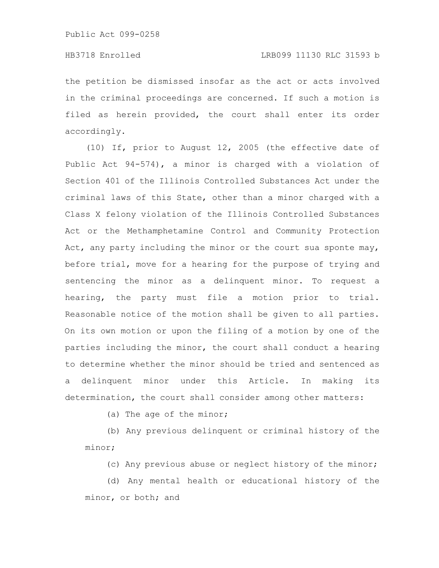# HB3718 Enrolled LRB099 11130 RLC 31593 b

the petition be dismissed insofar as the act or acts involved in the criminal proceedings are concerned. If such a motion is filed as herein provided, the court shall enter its order accordingly.

(10) If, prior to August 12, 2005 (the effective date of Public Act 94-574), a minor is charged with a violation of Section 401 of the Illinois Controlled Substances Act under the criminal laws of this State, other than a minor charged with a Class X felony violation of the Illinois Controlled Substances Act or the Methamphetamine Control and Community Protection Act, any party including the minor or the court sua sponte may, before trial, move for a hearing for the purpose of trying and sentencing the minor as a delinquent minor. To request a hearing, the party must file a motion prior to trial. Reasonable notice of the motion shall be given to all parties. On its own motion or upon the filing of a motion by one of the parties including the minor, the court shall conduct a hearing to determine whether the minor should be tried and sentenced as a delinquent minor under this Article. In making its determination, the court shall consider among other matters:

(a) The age of the minor;

(b) Any previous delinquent or criminal history of the minor;

(c) Any previous abuse or neglect history of the minor;

(d) Any mental health or educational history of the minor, or both; and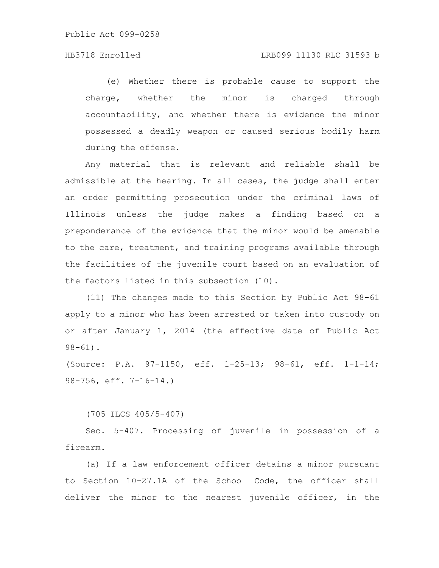# HB3718 Enrolled LRB099 11130 RLC 31593 b

(e) Whether there is probable cause to support the charge, whether the minor is charged through accountability, and whether there is evidence the minor possessed a deadly weapon or caused serious bodily harm during the offense.

Any material that is relevant and reliable shall be admissible at the hearing. In all cases, the judge shall enter an order permitting prosecution under the criminal laws of Illinois unless the judge makes a finding based on a preponderance of the evidence that the minor would be amenable to the care, treatment, and training programs available through the facilities of the juvenile court based on an evaluation of the factors listed in this subsection (10).

(11) The changes made to this Section by Public Act 98-61 apply to a minor who has been arrested or taken into custody on or after January 1, 2014 (the effective date of Public Act  $98 - 61$ .

(Source: P.A. 97-1150, eff. 1-25-13; 98-61, eff. 1-1-14; 98-756, eff. 7-16-14.)

(705 ILCS 405/5-407)

Sec. 5-407. Processing of juvenile in possession of a firearm.

(a) If a law enforcement officer detains a minor pursuant to Section 10-27.1A of the School Code, the officer shall deliver the minor to the nearest juvenile officer, in the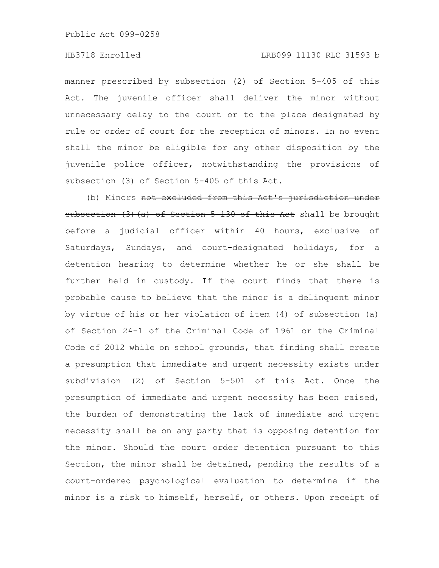# HB3718 Enrolled LRB099 11130 RLC 31593 b

manner prescribed by subsection (2) of Section 5-405 of this Act. The juvenile officer shall deliver the minor without unnecessary delay to the court or to the place designated by rule or order of court for the reception of minors. In no event shall the minor be eligible for any other disposition by the juvenile police officer, notwithstanding the provisions of subsection (3) of Section 5-405 of this Act.

(b) Minors not excluded from this Act's jurisdiction under subsection (3) (a) of Section 5-130 of this Act shall be brought before a judicial officer within 40 hours, exclusive of Saturdays, Sundays, and court-designated holidays, for a detention hearing to determine whether he or she shall be further held in custody. If the court finds that there is probable cause to believe that the minor is a delinquent minor by virtue of his or her violation of item (4) of subsection (a) of Section 24-1 of the Criminal Code of 1961 or the Criminal Code of 2012 while on school grounds, that finding shall create a presumption that immediate and urgent necessity exists under subdivision (2) of Section 5-501 of this Act. Once the presumption of immediate and urgent necessity has been raised, the burden of demonstrating the lack of immediate and urgent necessity shall be on any party that is opposing detention for the minor. Should the court order detention pursuant to this Section, the minor shall be detained, pending the results of a court-ordered psychological evaluation to determine if the minor is a risk to himself, herself, or others. Upon receipt of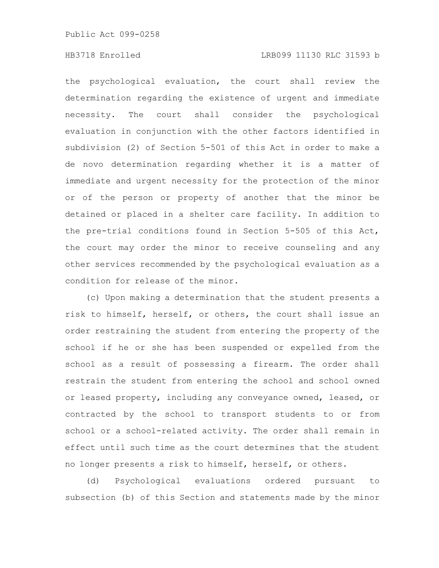# HB3718 Enrolled LRB099 11130 RLC 31593 b

the psychological evaluation, the court shall review the determination regarding the existence of urgent and immediate necessity. The court shall consider the psychological evaluation in conjunction with the other factors identified in subdivision (2) of Section 5-501 of this Act in order to make a de novo determination regarding whether it is a matter of immediate and urgent necessity for the protection of the minor or of the person or property of another that the minor be detained or placed in a shelter care facility. In addition to the pre-trial conditions found in Section 5-505 of this Act, the court may order the minor to receive counseling and any other services recommended by the psychological evaluation as a condition for release of the minor.

(c) Upon making a determination that the student presents a risk to himself, herself, or others, the court shall issue an order restraining the student from entering the property of the school if he or she has been suspended or expelled from the school as a result of possessing a firearm. The order shall restrain the student from entering the school and school owned or leased property, including any conveyance owned, leased, or contracted by the school to transport students to or from school or a school-related activity. The order shall remain in effect until such time as the court determines that the student no longer presents a risk to himself, herself, or others.

(d) Psychological evaluations ordered pursuant to subsection (b) of this Section and statements made by the minor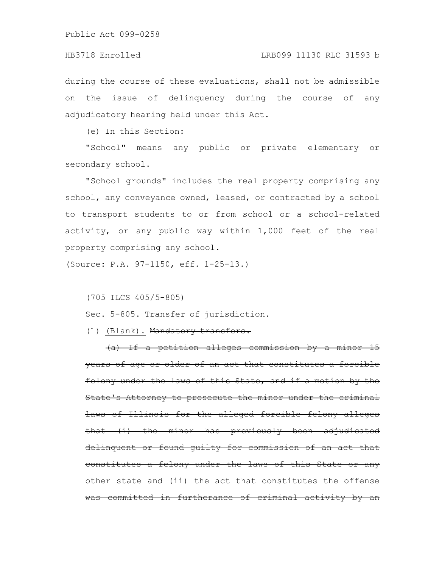during the course of these evaluations, shall not be admissible on the issue of delinquency during the course of any adjudicatory hearing held under this Act.

(e) In this Section:

"School" means any public or private elementary or secondary school.

"School grounds" includes the real property comprising any school, any conveyance owned, leased, or contracted by a school to transport students to or from school or a school-related activity, or any public way within 1,000 feet of the real property comprising any school.

(Source: P.A. 97-1150, eff. 1-25-13.)

(705 ILCS 405/5-805)

Sec. 5-805. Transfer of jurisdiction.

(1) (Blank). Mandatory transfers.

(a) If a petition alleges commission by a minor 15 years of age or older of an act that constitutes a forcible felony under the laws of this State, and if a motion by the State's Attorney to prosecute the minor under the criminal laws of Illinois for the alleged forcible felony alleges that (i) the minor has previously been adjudicated delinquent or found guilty for commission of an act that constitutes a felony under the laws of this State other state and (ii) the act that constitutes the offense was committed in furtherance of criminal activity by an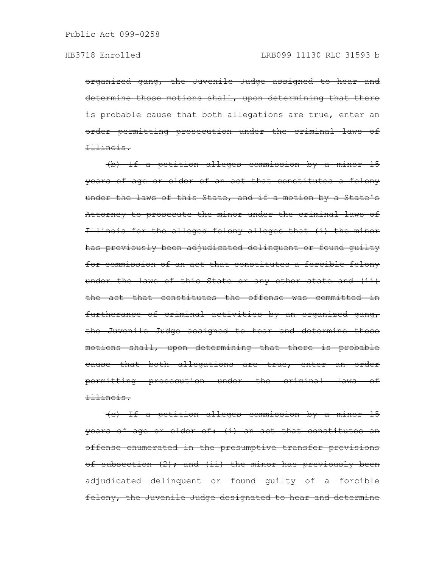organized gang, the Juvenile Judge assigned to hear and determine those motions shall, upon determining that there is probable cause that both allegations are true, enter an order permitting prosecution under the criminal laws of Illinois.

(b) If a petition alleges commission by a minor 15 years of age or older of an act that constitutes a felony under the laws of this State, and if a motion by a State's Attorney to prosecute the minor under the criminal laws of Illinois for the alleged felony alleges that (i) the minor has previously been adjudicated delinquent or found guilty for commission of an act that constitutes a forcible felony under the laws of this State or any other state and (ii) the act that constitutes the offense was committed in furtherance of criminal activities by an organized gang, the Juvenile Judge assigned to hear and determine those motions shall, upon determining that there is probable cause that both allegations are true, enter an order permitting prosecution under the criminal laws of Illinois.

(c) If a petition alleges commission by a minor 15 years of age or older of: (i) an act that constitutes an offense enumerated in the presumptive transfer provisions of subsection  $(2)$ ; and  $(ii)$  the minor has previously been adjudicated delinquent or found guilty of a forcible felony, the Juvenile Judge designated to hear and determine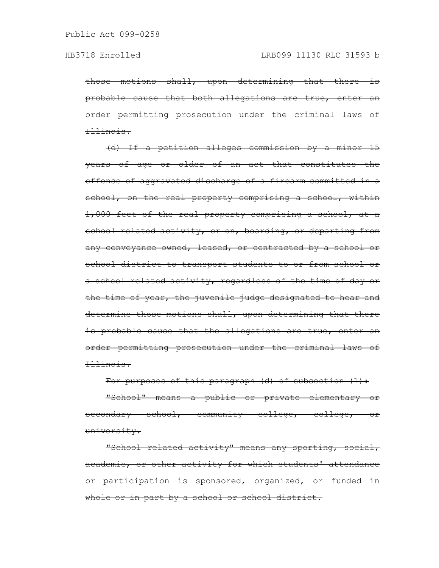those motions shall, upon determining that there is probable cause that both allegations are true, enter an order permitting prosecution under the criminal laws of Illinois.

(d) If a petition alleges commission by a minor 15 years of age or older of an act that constitutes the offense of aggravated discharge of a firearm committed in a school, on the real property comprising a school, within 1,000 feet of the real property comprising a school, at a school related activity, or on, boarding, or departing from any conveyance owned, leased, or contracted by a school or school district to transport students to or from school or a school related activity, regardless of the time of day or the time of year, the juvenile judge designated to hear and determine those motions shall, upon determining that there is probable cause that the allegations are true, enter an order permitting prosecution under the criminal laws of Illinois.

For purposes of this paragraph (d) of subsection (1):

"School" means a public or private elementary or secondary school, community college, college, or university.

"School related activity" means any sporting, social, academic, or other activity for which students' attendance or participation is sponsored, organized, or funded in whole or in part by a school or school district.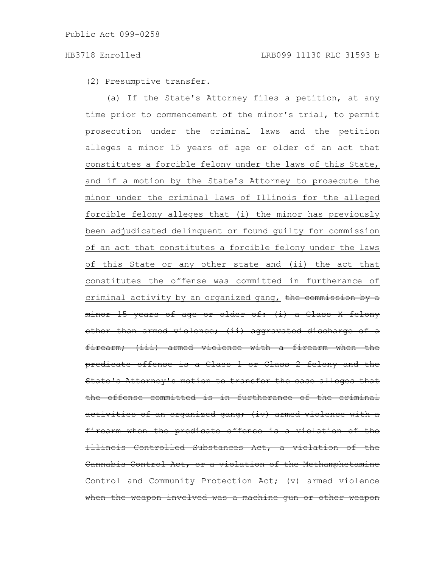(2) Presumptive transfer.

(a) If the State's Attorney files a petition, at any time prior to commencement of the minor's trial, to permit prosecution under the criminal laws and the petition alleges a minor 15 years of age or older of an act that constitutes a forcible felony under the laws of this State, and if a motion by the State's Attorney to prosecute the minor under the criminal laws of Illinois for the alleged forcible felony alleges that (i) the minor has previously been adjudicated delinquent or found guilty for commission of an act that constitutes a forcible felony under the laws of this State or any other state and (ii) the act that constitutes the offense was committed in furtherance of criminal activity by an organized gang, the commission by a minor 15 years of age or older of: (i) a Class X felony other than armed violence; (ii) aggravated discharge firearm; (iii) armed violence with a firearm when the predicate offense is a Class 1 or Class 2 felony and State's Attorney's motion to transfer the case alleges that the offense committed is in furtherance of the activities of an organized gang; (iv) armed firearm when the predicate offense is a violation of the Llinois Controlled Substances Act, a violation Cannabis Control Act, or a violation of the Methamphetamine Control and Community Protection Act; (v) armed violence when the weapon involved was a machine gun or other weapon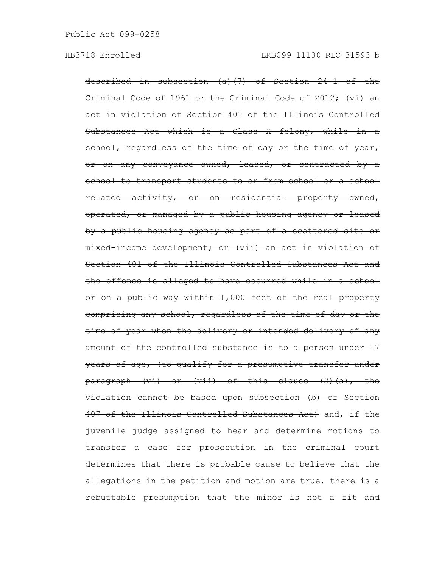described in subsection (a)(7) of Section 24-1 of the Criminal Code of 1961 or the Criminal Code of 2012; (vi) an act in violation of Section 401 of the Illinois Controlled Substances Act which is a Class  $X$  felony, while school, regardless of the time of day or the time of year, or on any conveyance owned, leased, or contracted by a school to transport students to or from school or a school related activity, or on residential property owned, operated, or managed by a public housing agency or leased by a public housing agency as part of a scattered site or mixed-income development; or (vii) an act in violation of Section 401 of the Illinois Controlled Substances Act and the offense is alleged to have occurred while in a school or on a public way within 1,000 feet of the real property comprising any school, regardless of the time of day or the time of year when the delivery or intended delivery of any amount of the controlled substance is to a person under 17 years of age, (to qualify for a presumptive transfer under paragraph (vi) or (vii) of this clause (2)(a), the violation cannot be based upon subsection (b) of Section 407 of the Illinois Controlled Substances Act) and, if the juvenile judge assigned to hear and determine motions to transfer a case for prosecution in the criminal court determines that there is probable cause to believe that the allegations in the petition and motion are true, there is a rebuttable presumption that the minor is not a fit and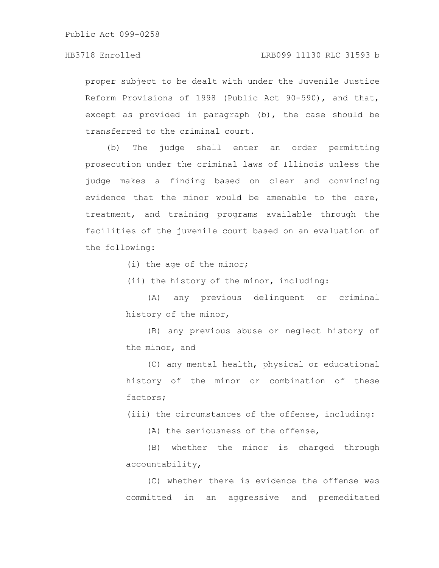proper subject to be dealt with under the Juvenile Justice Reform Provisions of 1998 (Public Act 90-590), and that, except as provided in paragraph (b), the case should be transferred to the criminal court.

(b) The judge shall enter an order permitting prosecution under the criminal laws of Illinois unless the judge makes a finding based on clear and convincing evidence that the minor would be amenable to the care, treatment, and training programs available through the facilities of the juvenile court based on an evaluation of the following:

(i) the age of the minor;

(ii) the history of the minor, including:

(A) any previous delinquent or criminal history of the minor,

(B) any previous abuse or neglect history of the minor, and

(C) any mental health, physical or educational history of the minor or combination of these factors;

(iii) the circumstances of the offense, including:

(A) the seriousness of the offense,

(B) whether the minor is charged through accountability,

(C) whether there is evidence the offense was committed in an aggressive and premeditated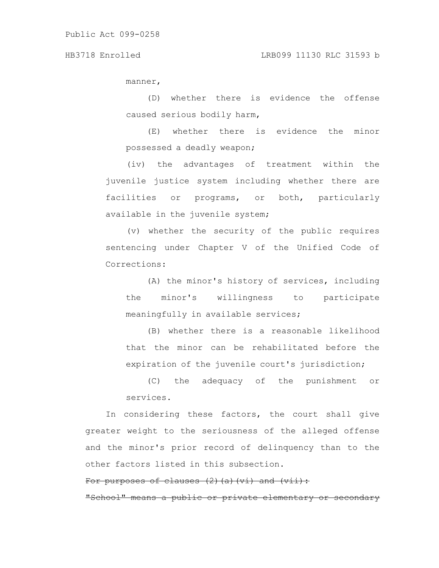manner,

(D) whether there is evidence the offense caused serious bodily harm,

(E) whether there is evidence the minor possessed a deadly weapon;

(iv) the advantages of treatment within the juvenile justice system including whether there are facilities or programs, or both, particularly available in the juvenile system;

(v) whether the security of the public requires sentencing under Chapter V of the Unified Code of Corrections:

(A) the minor's history of services, including the minor's willingness to participate meaningfully in available services;

(B) whether there is a reasonable likelihood that the minor can be rehabilitated before the expiration of the juvenile court's jurisdiction;

(C) the adequacy of the punishment or services.

In considering these factors, the court shall give greater weight to the seriousness of the alleged offense and the minor's prior record of delinquency than to the other factors listed in this subsection.

# For purposes of clauses (2)(a)(vi) and (vii):

"School" means a public or private elementary or seconda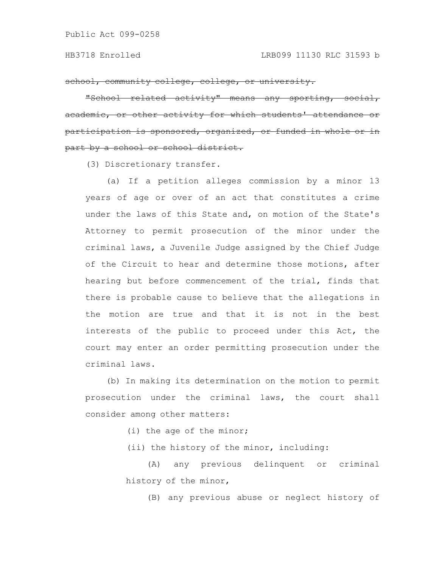school, community college, college, or university.

"School related activity" means any sporting, ademic, or other activity for which participation is sponsored, organized, part by a school or school district.

(3) Discretionary transfer.

(a) If a petition alleges commission by a minor 13 years of age or over of an act that constitutes a crime under the laws of this State and, on motion of the State's Attorney to permit prosecution of the minor under the criminal laws, a Juvenile Judge assigned by the Chief Judge of the Circuit to hear and determine those motions, after hearing but before commencement of the trial, finds that there is probable cause to believe that the allegations in the motion are true and that it is not in the best interests of the public to proceed under this Act, the court may enter an order permitting prosecution under the criminal laws.

(b) In making its determination on the motion to permit prosecution under the criminal laws, the court shall consider among other matters:

(i) the age of the minor;

(ii) the history of the minor, including:

(A) any previous delinquent or criminal history of the minor,

(B) any previous abuse or neglect history of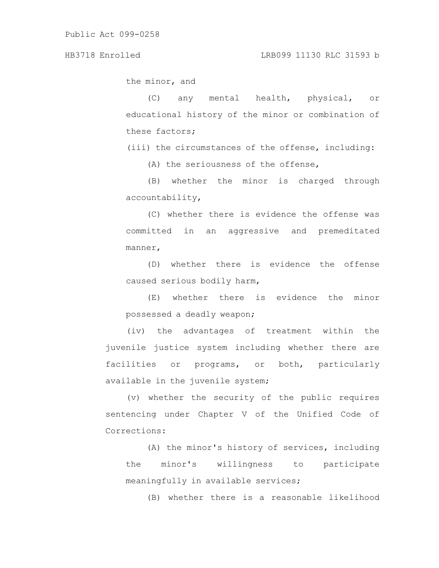the minor, and

(C) any mental health, physical, or educational history of the minor or combination of these factors;

(iii) the circumstances of the offense, including:

(A) the seriousness of the offense,

(B) whether the minor is charged through accountability,

(C) whether there is evidence the offense was committed in an aggressive and premeditated manner,

(D) whether there is evidence the offense caused serious bodily harm,

(E) whether there is evidence the minor possessed a deadly weapon;

(iv) the advantages of treatment within the juvenile justice system including whether there are facilities or programs, or both, particularly available in the juvenile system;

(v) whether the security of the public requires sentencing under Chapter V of the Unified Code of Corrections:

(A) the minor's history of services, including the minor's willingness to participate meaningfully in available services;

(B) whether there is a reasonable likelihood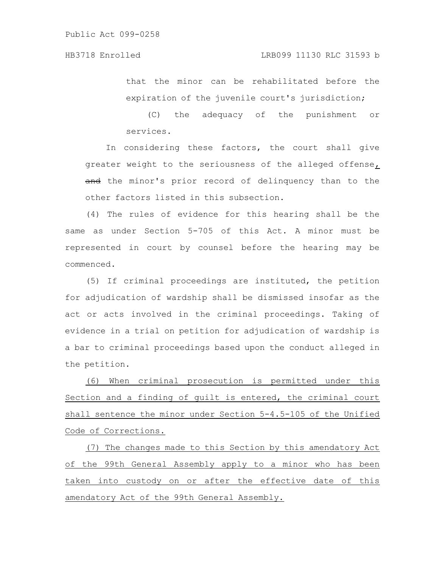that the minor can be rehabilitated before the expiration of the juvenile court's jurisdiction;

(C) the adequacy of the punishment or services.

In considering these factors, the court shall give greater weight to the seriousness of the alleged offense, and the minor's prior record of delinquency than to the other factors listed in this subsection.

(4) The rules of evidence for this hearing shall be the same as under Section 5-705 of this Act. A minor must be represented in court by counsel before the hearing may be commenced.

(5) If criminal proceedings are instituted, the petition for adjudication of wardship shall be dismissed insofar as the act or acts involved in the criminal proceedings. Taking of evidence in a trial on petition for adjudication of wardship is a bar to criminal proceedings based upon the conduct alleged in the petition.

(6) When criminal prosecution is permitted under this Section and a finding of guilt is entered, the criminal court shall sentence the minor under Section 5-4.5-105 of the Unified Code of Corrections.

(7) The changes made to this Section by this amendatory Act of the 99th General Assembly apply to a minor who has been taken into custody on or after the effective date of this amendatory Act of the 99th General Assembly.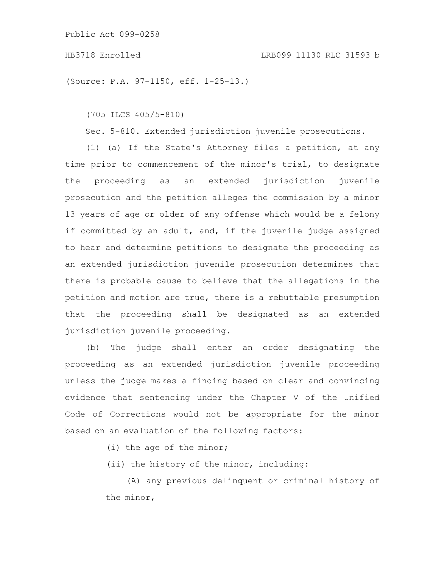## HB3718 Enrolled LRB099 11130 RLC 31593 b

(Source: P.A. 97-1150, eff. 1-25-13.)

(705 ILCS 405/5-810)

Sec. 5-810. Extended jurisdiction juvenile prosecutions.

(1) (a) If the State's Attorney files a petition, at any time prior to commencement of the minor's trial, to designate the proceeding as an extended jurisdiction juvenile prosecution and the petition alleges the commission by a minor 13 years of age or older of any offense which would be a felony if committed by an adult, and, if the juvenile judge assigned to hear and determine petitions to designate the proceeding as an extended jurisdiction juvenile prosecution determines that there is probable cause to believe that the allegations in the petition and motion are true, there is a rebuttable presumption that the proceeding shall be designated as an extended jurisdiction juvenile proceeding.

(b) The judge shall enter an order designating the proceeding as an extended jurisdiction juvenile proceeding unless the judge makes a finding based on clear and convincing evidence that sentencing under the Chapter V of the Unified Code of Corrections would not be appropriate for the minor based on an evaluation of the following factors:

(i) the age of the minor;

(ii) the history of the minor, including:

(A) any previous delinquent or criminal history of the minor,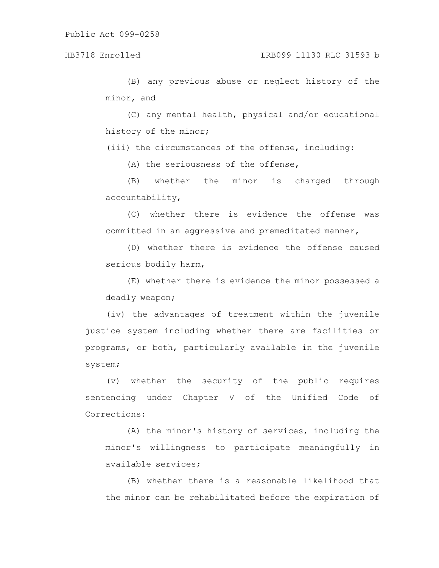(B) any previous abuse or neglect history of the minor, and

(C) any mental health, physical and/or educational history of the minor;

(iii) the circumstances of the offense, including:

(A) the seriousness of the offense,

(B) whether the minor is charged through accountability,

(C) whether there is evidence the offense was committed in an aggressive and premeditated manner,

(D) whether there is evidence the offense caused serious bodily harm,

(E) whether there is evidence the minor possessed a deadly weapon;

(iv) the advantages of treatment within the juvenile justice system including whether there are facilities or programs, or both, particularly available in the juvenile system;

(v) whether the security of the public requires sentencing under Chapter V of the Unified Code of Corrections:

(A) the minor's history of services, including the minor's willingness to participate meaningfully in available services;

(B) whether there is a reasonable likelihood that the minor can be rehabilitated before the expiration of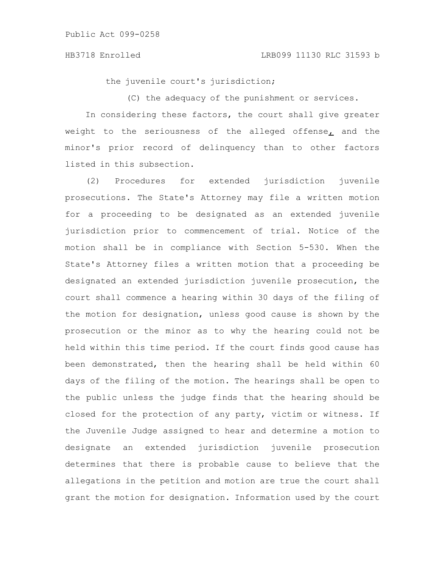### HB3718 Enrolled LRB099 11130 RLC 31593 b

the juvenile court's jurisdiction;

(C) the adequacy of the punishment or services.

In considering these factors, the court shall give greater weight to the seriousness of the alleged offense, and the minor's prior record of delinquency than to other factors listed in this subsection.

(2) Procedures for extended jurisdiction juvenile prosecutions. The State's Attorney may file a written motion for a proceeding to be designated as an extended juvenile jurisdiction prior to commencement of trial. Notice of the motion shall be in compliance with Section 5-530. When the State's Attorney files a written motion that a proceeding be designated an extended jurisdiction juvenile prosecution, the court shall commence a hearing within 30 days of the filing of the motion for designation, unless good cause is shown by the prosecution or the minor as to why the hearing could not be held within this time period. If the court finds good cause has been demonstrated, then the hearing shall be held within 60 days of the filing of the motion. The hearings shall be open to the public unless the judge finds that the hearing should be closed for the protection of any party, victim or witness. If the Juvenile Judge assigned to hear and determine a motion to designate an extended jurisdiction juvenile prosecution determines that there is probable cause to believe that the allegations in the petition and motion are true the court shall grant the motion for designation. Information used by the court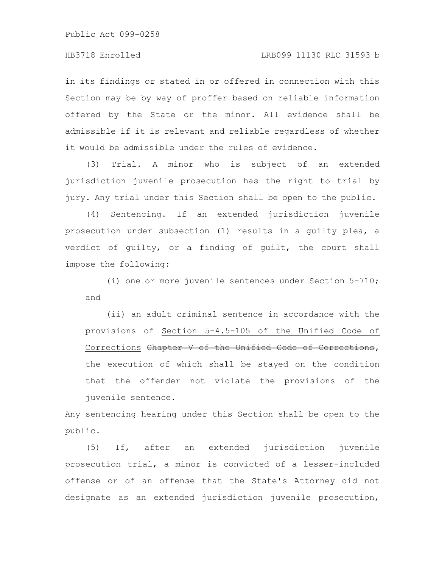in its findings or stated in or offered in connection with this Section may be by way of proffer based on reliable information offered by the State or the minor. All evidence shall be admissible if it is relevant and reliable regardless of whether it would be admissible under the rules of evidence.

(3) Trial. A minor who is subject of an extended jurisdiction juvenile prosecution has the right to trial by jury. Any trial under this Section shall be open to the public.

(4) Sentencing. If an extended jurisdiction juvenile prosecution under subsection (1) results in a guilty plea, a verdict of guilty, or a finding of guilt, the court shall impose the following:

(i) one or more juvenile sentences under Section 5-710; and

(ii) an adult criminal sentence in accordance with the provisions of Section 5-4.5-105 of the Unified Code of Corrections Chapter V of the Unified Code of Corrections, the execution of which shall be stayed on the condition that the offender not violate the provisions of the juvenile sentence.

Any sentencing hearing under this Section shall be open to the public.

(5) If, after an extended jurisdiction juvenile prosecution trial, a minor is convicted of a lesser-included offense or of an offense that the State's Attorney did not designate as an extended jurisdiction juvenile prosecution,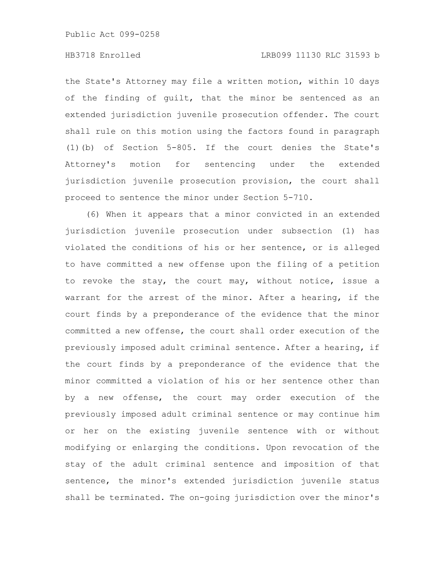# HB3718 Enrolled LRB099 11130 RLC 31593 b

the State's Attorney may file a written motion, within 10 days of the finding of guilt, that the minor be sentenced as an extended jurisdiction juvenile prosecution offender. The court shall rule on this motion using the factors found in paragraph (1)(b) of Section 5-805. If the court denies the State's Attorney's motion for sentencing under the extended jurisdiction juvenile prosecution provision, the court shall proceed to sentence the minor under Section 5-710.

(6) When it appears that a minor convicted in an extended jurisdiction juvenile prosecution under subsection (1) has violated the conditions of his or her sentence, or is alleged to have committed a new offense upon the filing of a petition to revoke the stay, the court may, without notice, issue a warrant for the arrest of the minor. After a hearing, if the court finds by a preponderance of the evidence that the minor committed a new offense, the court shall order execution of the previously imposed adult criminal sentence. After a hearing, if the court finds by a preponderance of the evidence that the minor committed a violation of his or her sentence other than by a new offense, the court may order execution of the previously imposed adult criminal sentence or may continue him or her on the existing juvenile sentence with or without modifying or enlarging the conditions. Upon revocation of the stay of the adult criminal sentence and imposition of that sentence, the minor's extended jurisdiction juvenile status shall be terminated. The on-going jurisdiction over the minor's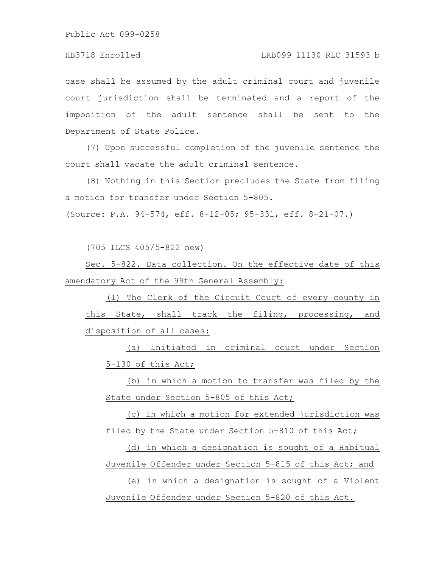case shall be assumed by the adult criminal court and juvenile court jurisdiction shall be terminated and a report of the imposition of the adult sentence shall be sent to the Department of State Police.

(7) Upon successful completion of the juvenile sentence the court shall vacate the adult criminal sentence.

(8) Nothing in this Section precludes the State from filing a motion for transfer under Section 5-805.

(Source: P.A. 94-574, eff. 8-12-05; 95-331, eff. 8-21-07.)

(705 ILCS 405/5-822 new)

Sec. 5-822. Data collection. On the effective date of this amendatory Act of the 99th General Assembly:

(1) The Clerk of the Circuit Court of every county in this State, shall track the filing, processing, and disposition of all cases:

(a) initiated in criminal court under Section 5-130 of this Act;

(b) in which a motion to transfer was filed by the State under Section 5-805 of this Act;

(c) in which a motion for extended jurisdiction was filed by the State under Section 5-810 of this Act;

(d) in which a designation is sought of a Habitual Juvenile Offender under Section 5-815 of this Act; and

(e) in which a designation is sought of a Violent Juvenile Offender under Section 5-820 of this Act.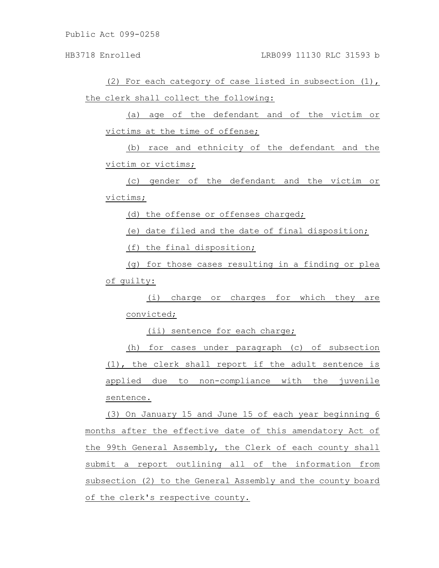(2) For each category of case listed in subsection (1), the clerk shall collect the following:

(a) age of the defendant and of the victim or victims at the time of offense;

(b) race and ethnicity of the defendant and the victim or victims;

(c) gender of the defendant and the victim or victims;

(d) the offense or offenses charged;

(e) date filed and the date of final disposition;

(f) the final disposition;

(g) for those cases resulting in a finding or plea of guilty:

(i) charge or charges for which they are convicted;

(ii) sentence for each charge;

(h) for cases under paragraph (c) of subsection (1), the clerk shall report if the adult sentence is applied due to non-compliance with the juvenile sentence.

(3) On January 15 and June 15 of each year beginning 6 months after the effective date of this amendatory Act of the 99th General Assembly, the Clerk of each county shall submit a report outlining all of the information from subsection (2) to the General Assembly and the county board of the clerk's respective county.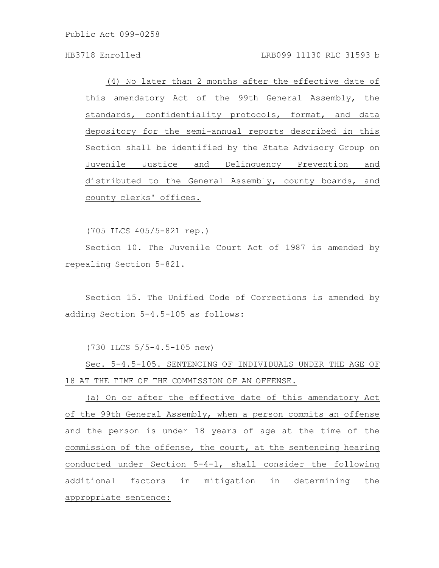(4) No later than 2 months after the effective date of this amendatory Act of the 99th General Assembly, the standards, confidentiality protocols, format, and data depository for the semi-annual reports described in this Section shall be identified by the State Advisory Group on Juvenile Justice and Delinquency Prevention and distributed to the General Assembly, county boards, and county clerks' offices.

(705 ILCS 405/5-821 rep.)

Section 10. The Juvenile Court Act of 1987 is amended by repealing Section 5-821.

Section 15. The Unified Code of Corrections is amended by adding Section 5-4.5-105 as follows:

(730 ILCS 5/5-4.5-105 new)

Sec. 5-4.5-105. SENTENCING OF INDIVIDUALS UNDER THE AGE OF 18 AT THE TIME OF THE COMMISSION OF AN OFFENSE.

(a) On or after the effective date of this amendatory Act of the 99th General Assembly, when a person commits an offense and the person is under 18 years of age at the time of the commission of the offense, the court, at the sentencing hearing conducted under Section 5-4-1, shall consider the following additional factors in mitigation in determining the appropriate sentence: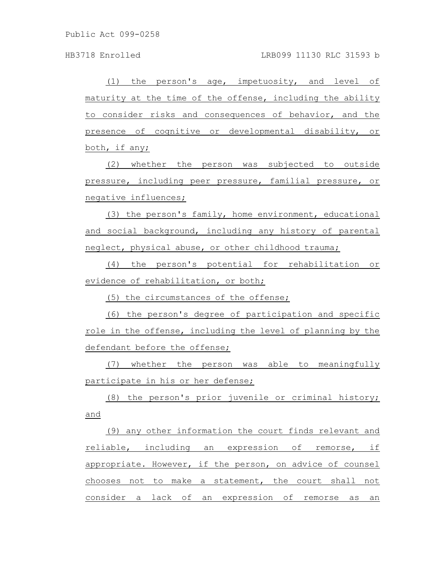(1) the person's age, impetuosity, and level of maturity at the time of the offense, including the ability to consider risks and consequences of behavior, and the presence of cognitive or developmental disability, or both, if any;

(2) whether the person was subjected to outside pressure, including peer pressure, familial pressure, or negative influences;

(3) the person's family, home environment, educational and social background, including any history of parental neglect, physical abuse, or other childhood trauma;

(4) the person's potential for rehabilitation or evidence of rehabilitation, or both;

(5) the circumstances of the offense;

(6) the person's degree of participation and specific role in the offense, including the level of planning by the defendant before the offense;

(7) whether the person was able to meaningfully participate in his or her defense;

(8) the person's prior juvenile or criminal history; and

(9) any other information the court finds relevant and reliable, including an expression of remorse, if appropriate. However, if the person, on advice of counsel chooses not to make a statement, the court shall not consider a lack of an expression of remorse as an